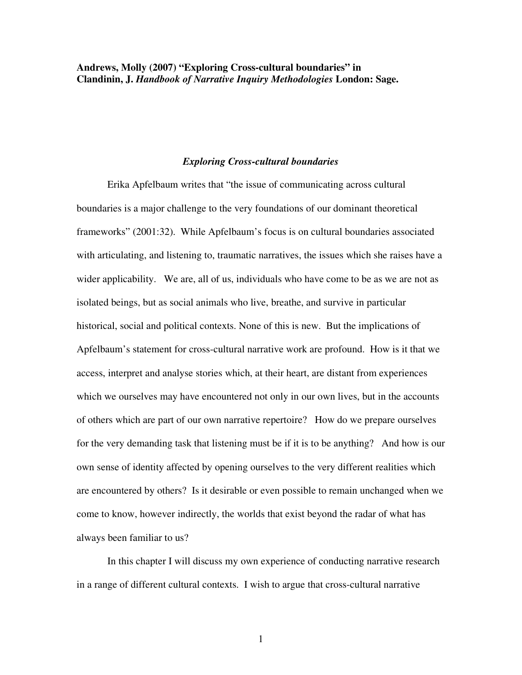## *Exploring Cross-cultural boundaries*

Erika Apfelbaum writes that "the issue of communicating across cultural boundaries is a major challenge to the very foundations of our dominant theoretical frameworks" (2001:32). While Apfelbaum's focus is on cultural boundaries associated with articulating, and listening to, traumatic narratives, the issues which she raises have a wider applicability. We are, all of us, individuals who have come to be as we are not as isolated beings, but as social animals who live, breathe, and survive in particular historical, social and political contexts. None of this is new. But the implications of Apfelbaum's statement for cross-cultural narrative work are profound. How is it that we access, interpret and analyse stories which, at their heart, are distant from experiences which we ourselves may have encountered not only in our own lives, but in the accounts of others which are part of our own narrative repertoire? How do we prepare ourselves for the very demanding task that listening must be if it is to be anything? And how is our own sense of identity affected by opening ourselves to the very different realities which are encountered by others? Is it desirable or even possible to remain unchanged when we come to know, however indirectly, the worlds that exist beyond the radar of what has always been familiar to us?

In this chapter I will discuss my own experience of conducting narrative research in a range of different cultural contexts. I wish to argue that cross-cultural narrative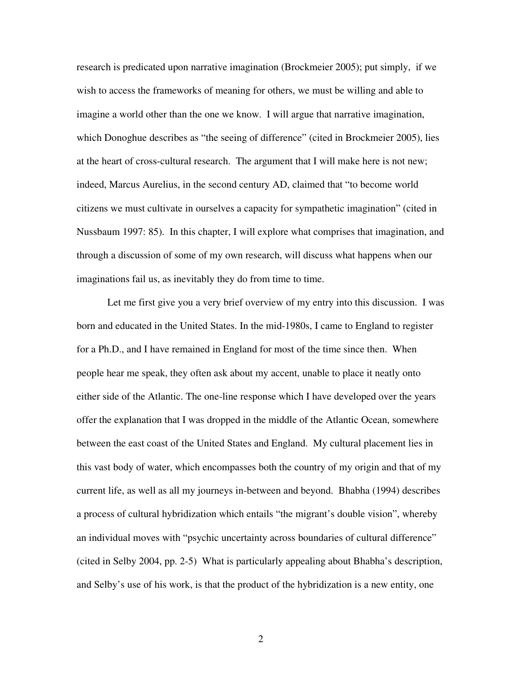research is predicated upon narrative imagination (Brockmeier 2005); put simply, if we wish to access the frameworks of meaning for others, we must be willing and able to imagine a world other than the one we know. I will argue that narrative imagination, which Donoghue describes as "the seeing of difference" (cited in Brockmeier 2005), lies at the heart of cross-cultural research. The argument that I will make here is not new; indeed, Marcus Aurelius, in the second century AD, claimed that "to become world citizens we must cultivate in ourselves a capacity for sympathetic imagination" (cited in Nussbaum 1997: 85). In this chapter, I will explore what comprises that imagination, and through a discussion of some of my own research, will discuss what happens when our imaginations fail us, as inevitably they do from time to time.

Let me first give you a very brief overview of my entry into this discussion. I was born and educated in the United States. In the mid-1980s, I came to England to register for a Ph.D., and I have remained in England for most of the time since then. When people hear me speak, they often ask about my accent, unable to place it neatly onto either side of the Atlantic. The one-line response which I have developed over the years offer the explanation that I was dropped in the middle of the Atlantic Ocean, somewhere between the east coast of the United States and England. My cultural placement lies in this vast body of water, which encompasses both the country of my origin and that of my current life, as well as all my journeys in-between and beyond. Bhabha (1994) describes a process of cultural hybridization which entails "the migrant's double vision", whereby an individual moves with "psychic uncertainty across boundaries of cultural difference" (cited in Selby 2004, pp. 2-5) What is particularly appealing about Bhabha's description, and Selby's use of his work, is that the product of the hybridization is a new entity, one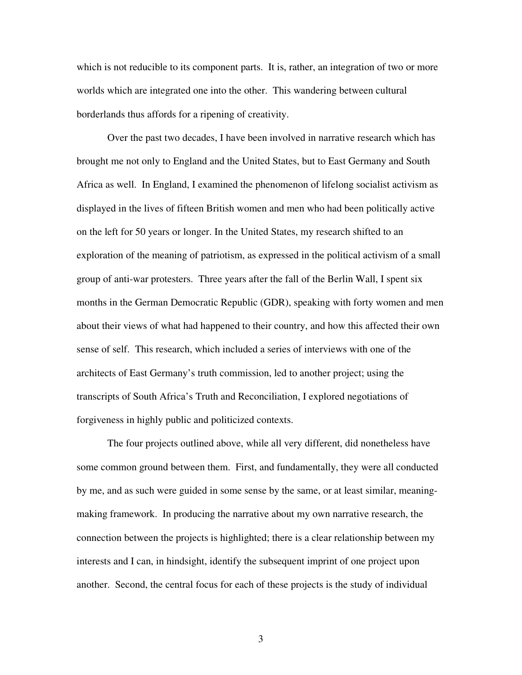which is not reducible to its component parts. It is, rather, an integration of two or more worlds which are integrated one into the other. This wandering between cultural borderlands thus affords for a ripening of creativity.

Over the past two decades, I have been involved in narrative research which has brought me not only to England and the United States, but to East Germany and South Africa as well. In England, I examined the phenomenon of lifelong socialist activism as displayed in the lives of fifteen British women and men who had been politically active on the left for 50 years or longer. In the United States, my research shifted to an exploration of the meaning of patriotism, as expressed in the political activism of a small group of anti-war protesters. Three years after the fall of the Berlin Wall, I spent six months in the German Democratic Republic (GDR), speaking with forty women and men about their views of what had happened to their country, and how this affected their own sense of self. This research, which included a series of interviews with one of the architects of East Germany's truth commission, led to another project; using the transcripts of South Africa's Truth and Reconciliation, I explored negotiations of forgiveness in highly public and politicized contexts.

The four projects outlined above, while all very different, did nonetheless have some common ground between them. First, and fundamentally, they were all conducted by me, and as such were guided in some sense by the same, or at least similar, meaningmaking framework. In producing the narrative about my own narrative research, the connection between the projects is highlighted; there is a clear relationship between my interests and I can, in hindsight, identify the subsequent imprint of one project upon another. Second, the central focus for each of these projects is the study of individual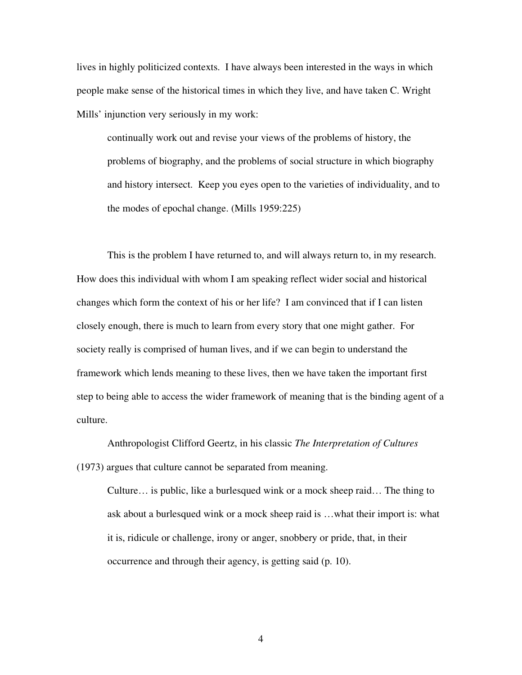lives in highly politicized contexts. I have always been interested in the ways in which people make sense of the historical times in which they live, and have taken C. Wright Mills' injunction very seriously in my work:

continually work out and revise your views of the problems of history, the problems of biography, and the problems of social structure in which biography and history intersect. Keep you eyes open to the varieties of individuality, and to the modes of epochal change. (Mills 1959:225)

This is the problem I have returned to, and will always return to, in my research. How does this individual with whom I am speaking reflect wider social and historical changes which form the context of his or her life? I am convinced that if I can listen closely enough, there is much to learn from every story that one might gather. For society really is comprised of human lives, and if we can begin to understand the framework which lends meaning to these lives, then we have taken the important first step to being able to access the wider framework of meaning that is the binding agent of a culture.

Anthropologist Clifford Geertz, in his classic *The Interpretation of Cultures* (1973) argues that culture cannot be separated from meaning.

Culture… is public, like a burlesqued wink or a mock sheep raid… The thing to ask about a burlesqued wink or a mock sheep raid is …what their import is: what it is, ridicule or challenge, irony or anger, snobbery or pride, that, in their occurrence and through their agency, is getting said (p. 10).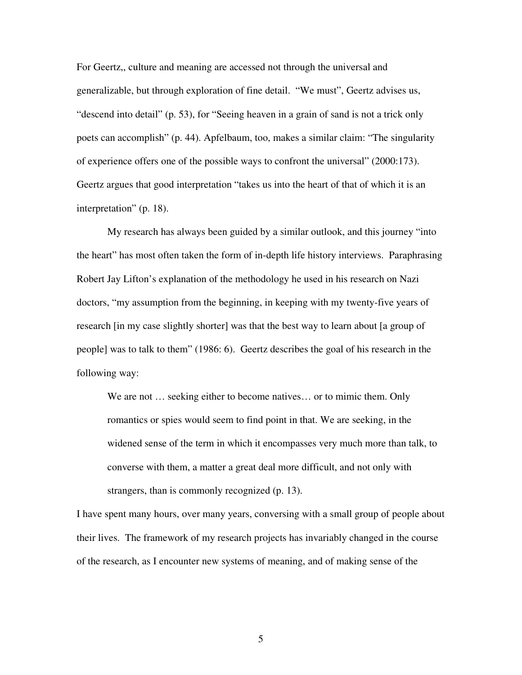For Geertz,, culture and meaning are accessed not through the universal and generalizable, but through exploration of fine detail. "We must", Geertz advises us, "descend into detail" (p. 53), for "Seeing heaven in a grain of sand is not a trick only poets can accomplish" (p. 44). Apfelbaum, too, makes a similar claim: "The singularity of experience offers one of the possible ways to confront the universal" (2000:173). Geertz argues that good interpretation "takes us into the heart of that of which it is an interpretation" (p. 18).

My research has always been guided by a similar outlook, and this journey "into the heart" has most often taken the form of in-depth life history interviews. Paraphrasing Robert Jay Lifton's explanation of the methodology he used in his research on Nazi doctors, "my assumption from the beginning, in keeping with my twenty-five years of research [in my case slightly shorter] was that the best way to learn about [a group of people] was to talk to them" (1986: 6). Geertz describes the goal of his research in the following way:

We are not … seeking either to become natives… or to mimic them. Only romantics or spies would seem to find point in that. We are seeking, in the widened sense of the term in which it encompasses very much more than talk, to converse with them, a matter a great deal more difficult, and not only with strangers, than is commonly recognized (p. 13).

I have spent many hours, over many years, conversing with a small group of people about their lives. The framework of my research projects has invariably changed in the course of the research, as I encounter new systems of meaning, and of making sense of the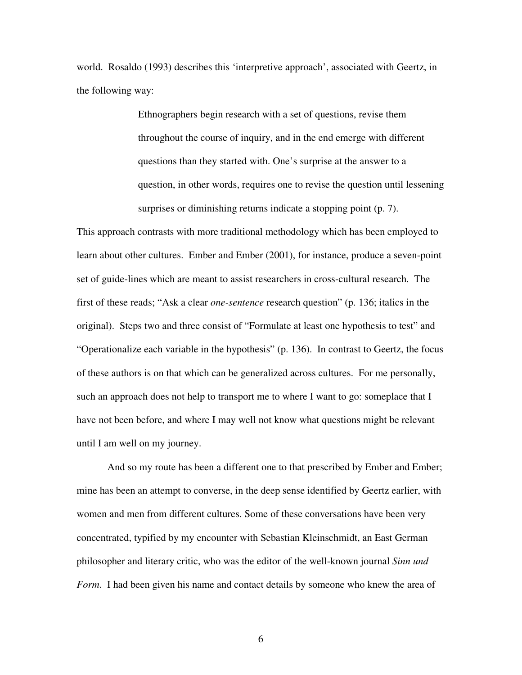world. Rosaldo (1993) describes this 'interpretive approach', associated with Geertz, in the following way:

> Ethnographers begin research with a set of questions, revise them throughout the course of inquiry, and in the end emerge with different questions than they started with. One's surprise at the answer to a question, in other words, requires one to revise the question until lessening surprises or diminishing returns indicate a stopping point (p. 7).

This approach contrasts with more traditional methodology which has been employed to learn about other cultures. Ember and Ember (2001), for instance, produce a seven-point set of guide-lines which are meant to assist researchers in cross-cultural research. The first of these reads; "Ask a clear *one-sentence* research question" (p. 136; italics in the original). Steps two and three consist of "Formulate at least one hypothesis to test" and "Operationalize each variable in the hypothesis" (p. 136). In contrast to Geertz, the focus of these authors is on that which can be generalized across cultures. For me personally, such an approach does not help to transport me to where I want to go: someplace that I have not been before, and where I may well not know what questions might be relevant until I am well on my journey.

And so my route has been a different one to that prescribed by Ember and Ember; mine has been an attempt to converse, in the deep sense identified by Geertz earlier, with women and men from different cultures. Some of these conversations have been very concentrated, typified by my encounter with Sebastian Kleinschmidt, an East German philosopher and literary critic, who was the editor of the well-known journal *Sinn und Form.* I had been given his name and contact details by someone who knew the area of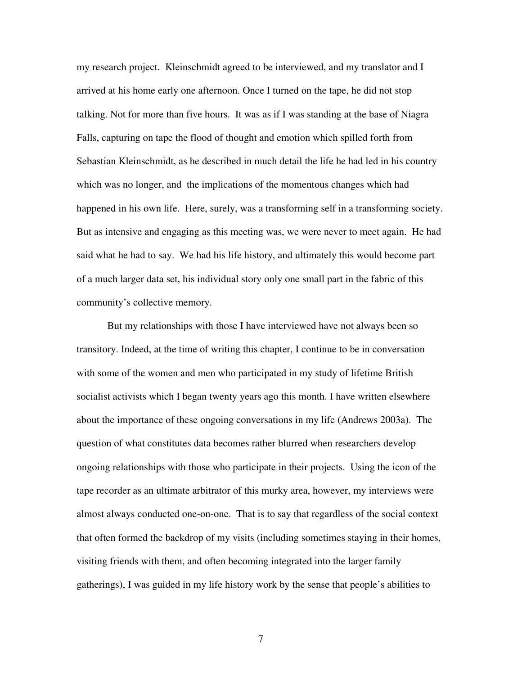my research project. Kleinschmidt agreed to be interviewed, and my translator and I arrived at his home early one afternoon. Once I turned on the tape, he did not stop talking. Not for more than five hours. It was as if I was standing at the base of Niagra Falls, capturing on tape the flood of thought and emotion which spilled forth from Sebastian Kleinschmidt, as he described in much detail the life he had led in his country which was no longer, and the implications of the momentous changes which had happened in his own life. Here, surely, was a transforming self in a transforming society. But as intensive and engaging as this meeting was, we were never to meet again. He had said what he had to say. We had his life history, and ultimately this would become part of a much larger data set, his individual story only one small part in the fabric of this community's collective memory.

But my relationships with those I have interviewed have not always been so transitory. Indeed, at the time of writing this chapter, I continue to be in conversation with some of the women and men who participated in my study of lifetime British socialist activists which I began twenty years ago this month. I have written elsewhere about the importance of these ongoing conversations in my life (Andrews 2003a). The question of what constitutes data becomes rather blurred when researchers develop ongoing relationships with those who participate in their projects. Using the icon of the tape recorder as an ultimate arbitrator of this murky area, however, my interviews were almost always conducted one-on-one. That is to say that regardless of the social context that often formed the backdrop of my visits (including sometimes staying in their homes, visiting friends with them, and often becoming integrated into the larger family gatherings), I was guided in my life history work by the sense that people's abilities to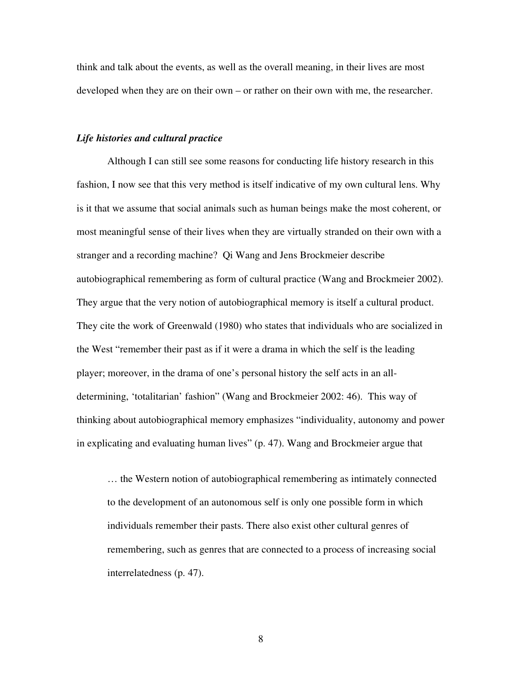think and talk about the events, as well as the overall meaning, in their lives are most developed when they are on their own – or rather on their own with me, the researcher.

#### *Life histories and cultural practice*

Although I can still see some reasons for conducting life history research in this fashion, I now see that this very method is itself indicative of my own cultural lens. Why is it that we assume that social animals such as human beings make the most coherent, or most meaningful sense of their lives when they are virtually stranded on their own with a stranger and a recording machine? Qi Wang and Jens Brockmeier describe autobiographical remembering as form of cultural practice (Wang and Brockmeier 2002). They argue that the very notion of autobiographical memory is itself a cultural product. They cite the work of Greenwald (1980) who states that individuals who are socialized in the West "remember their past as if it were a drama in which the self is the leading player; moreover, in the drama of one's personal history the self acts in an alldetermining, 'totalitarian' fashion" (Wang and Brockmeier 2002: 46). This way of thinking about autobiographical memory emphasizes "individuality, autonomy and power in explicating and evaluating human lives" (p. 47). Wang and Brockmeier argue that

… the Western notion of autobiographical remembering as intimately connected to the development of an autonomous self is only one possible form in which individuals remember their pasts. There also exist other cultural genres of remembering, such as genres that are connected to a process of increasing social interrelatedness (p. 47).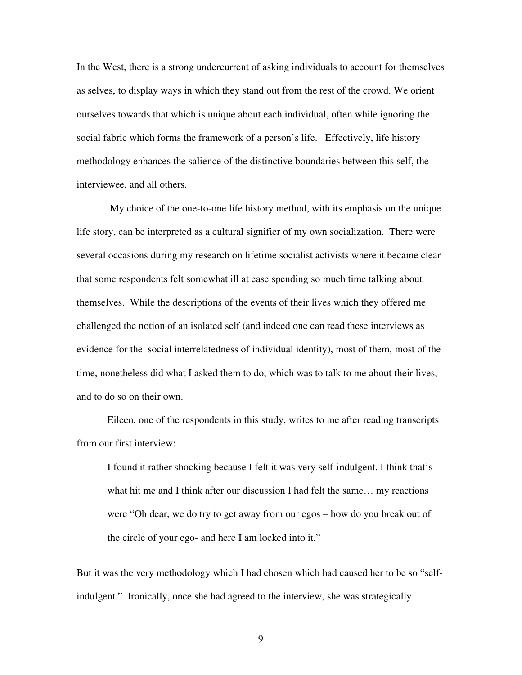In the West, there is a strong undercurrent of asking individuals to account for themselves as selves, to display ways in which they stand out from the rest of the crowd. We orient ourselves towards that which is unique about each individual, often while ignoring the social fabric which forms the framework of a person's life. Effectively, life history methodology enhances the salience of the distinctive boundaries between this self, the interviewee, and all others.

 My choice of the one-to-one life history method, with its emphasis on the unique life story, can be interpreted as a cultural signifier of my own socialization. There were several occasions during my research on lifetime socialist activists where it became clear that some respondents felt somewhat ill at ease spending so much time talking about themselves. While the descriptions of the events of their lives which they offered me challenged the notion of an isolated self (and indeed one can read these interviews as evidence for the social interrelatedness of individual identity), most of them, most of the time, nonetheless did what I asked them to do, which was to talk to me about their lives, and to do so on their own.

Eileen, one of the respondents in this study, writes to me after reading transcripts from our first interview:

I found it rather shocking because I felt it was very self-indulgent. I think that's what hit me and I think after our discussion I had felt the same… my reactions were "Oh dear, we do try to get away from our egos – how do you break out of the circle of your ego- and here I am locked into it."

But it was the very methodology which I had chosen which had caused her to be so "selfindulgent." Ironically, once she had agreed to the interview, she was strategically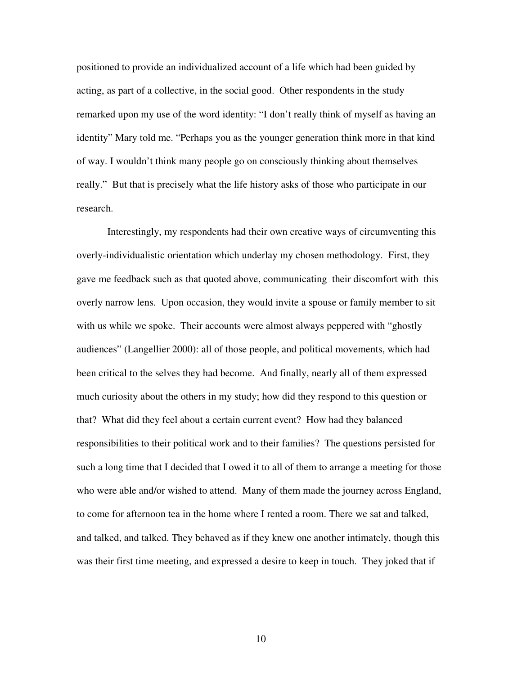positioned to provide an individualized account of a life which had been guided by acting, as part of a collective, in the social good. Other respondents in the study remarked upon my use of the word identity: "I don't really think of myself as having an identity" Mary told me. "Perhaps you as the younger generation think more in that kind of way. I wouldn't think many people go on consciously thinking about themselves really." But that is precisely what the life history asks of those who participate in our research.

Interestingly, my respondents had their own creative ways of circumventing this overly-individualistic orientation which underlay my chosen methodology. First, they gave me feedback such as that quoted above, communicating their discomfort with this overly narrow lens. Upon occasion, they would invite a spouse or family member to sit with us while we spoke. Their accounts were almost always peppered with "ghostly" audiences" (Langellier 2000): all of those people, and political movements, which had been critical to the selves they had become. And finally, nearly all of them expressed much curiosity about the others in my study; how did they respond to this question or that? What did they feel about a certain current event? How had they balanced responsibilities to their political work and to their families? The questions persisted for such a long time that I decided that I owed it to all of them to arrange a meeting for those who were able and/or wished to attend. Many of them made the journey across England, to come for afternoon tea in the home where I rented a room. There we sat and talked, and talked, and talked. They behaved as if they knew one another intimately, though this was their first time meeting, and expressed a desire to keep in touch. They joked that if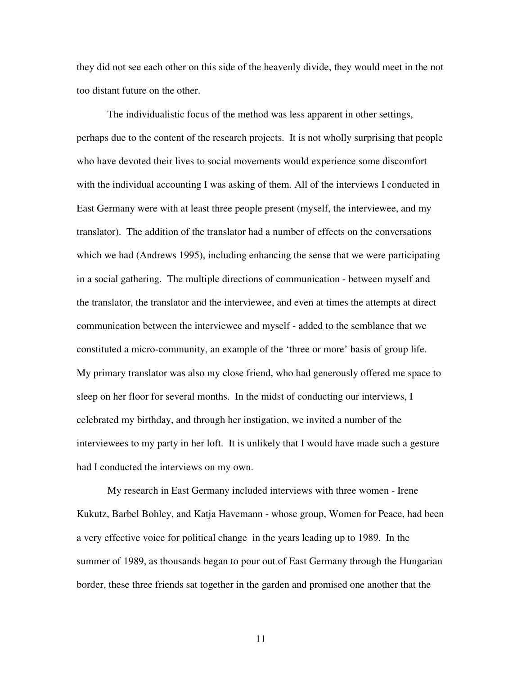they did not see each other on this side of the heavenly divide, they would meet in the not too distant future on the other.

The individualistic focus of the method was less apparent in other settings, perhaps due to the content of the research projects. It is not wholly surprising that people who have devoted their lives to social movements would experience some discomfort with the individual accounting I was asking of them. All of the interviews I conducted in East Germany were with at least three people present (myself, the interviewee, and my translator). The addition of the translator had a number of effects on the conversations which we had (Andrews 1995), including enhancing the sense that we were participating in a social gathering. The multiple directions of communication - between myself and the translator, the translator and the interviewee, and even at times the attempts at direct communication between the interviewee and myself - added to the semblance that we constituted a micro-community, an example of the 'three or more' basis of group life. My primary translator was also my close friend, who had generously offered me space to sleep on her floor for several months. In the midst of conducting our interviews, I celebrated my birthday, and through her instigation, we invited a number of the interviewees to my party in her loft. It is unlikely that I would have made such a gesture had I conducted the interviews on my own.

My research in East Germany included interviews with three women - Irene Kukutz, Barbel Bohley, and Katja Havemann - whose group, Women for Peace, had been a very effective voice for political change in the years leading up to 1989. In the summer of 1989, as thousands began to pour out of East Germany through the Hungarian border, these three friends sat together in the garden and promised one another that the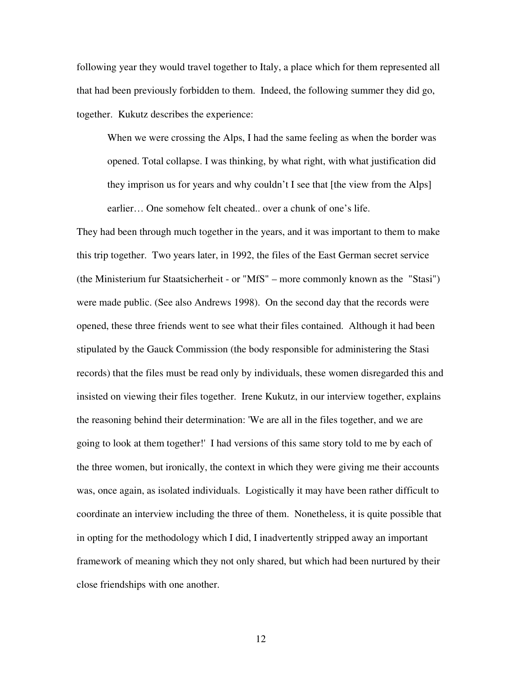following year they would travel together to Italy, a place which for them represented all that had been previously forbidden to them. Indeed, the following summer they did go, together. Kukutz describes the experience:

When we were crossing the Alps, I had the same feeling as when the border was opened. Total collapse. I was thinking, by what right, with what justification did they imprison us for years and why couldn't I see that [the view from the Alps] earlier… One somehow felt cheated.. over a chunk of one's life.

They had been through much together in the years, and it was important to them to make this trip together. Two years later, in 1992, the files of the East German secret service (the Ministerium fur Staatsicherheit - or "MfS" – more commonly known as the "Stasi") were made public. (See also Andrews 1998). On the second day that the records were opened, these three friends went to see what their files contained. Although it had been stipulated by the Gauck Commission (the body responsible for administering the Stasi records) that the files must be read only by individuals, these women disregarded this and insisted on viewing their files together. Irene Kukutz, in our interview together, explains the reasoning behind their determination: 'We are all in the files together, and we are going to look at them together!' I had versions of this same story told to me by each of the three women, but ironically, the context in which they were giving me their accounts was, once again, as isolated individuals. Logistically it may have been rather difficult to coordinate an interview including the three of them. Nonetheless, it is quite possible that in opting for the methodology which I did, I inadvertently stripped away an important framework of meaning which they not only shared, but which had been nurtured by their close friendships with one another.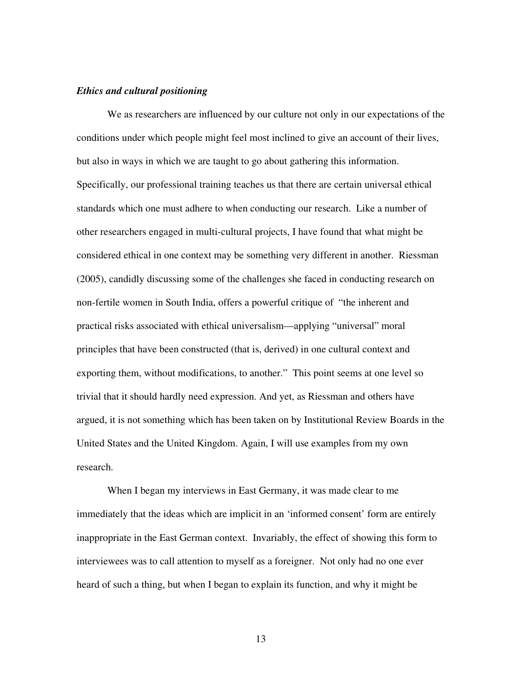## *Ethics and cultural positioning*

We as researchers are influenced by our culture not only in our expectations of the conditions under which people might feel most inclined to give an account of their lives, but also in ways in which we are taught to go about gathering this information. Specifically, our professional training teaches us that there are certain universal ethical standards which one must adhere to when conducting our research. Like a number of other researchers engaged in multi-cultural projects, I have found that what might be considered ethical in one context may be something very different in another. Riessman (2005), candidly discussing some of the challenges she faced in conducting research on non-fertile women in South India, offers a powerful critique of "the inherent and practical risks associated with ethical universalism—applying "universal" moral principles that have been constructed (that is, derived) in one cultural context and exporting them, without modifications, to another." This point seems at one level so trivial that it should hardly need expression. And yet, as Riessman and others have argued, it is not something which has been taken on by Institutional Review Boards in the United States and the United Kingdom. Again, I will use examples from my own research.

When I began my interviews in East Germany, it was made clear to me immediately that the ideas which are implicit in an 'informed consent' form are entirely inappropriate in the East German context. Invariably, the effect of showing this form to interviewees was to call attention to myself as a foreigner. Not only had no one ever heard of such a thing, but when I began to explain its function, and why it might be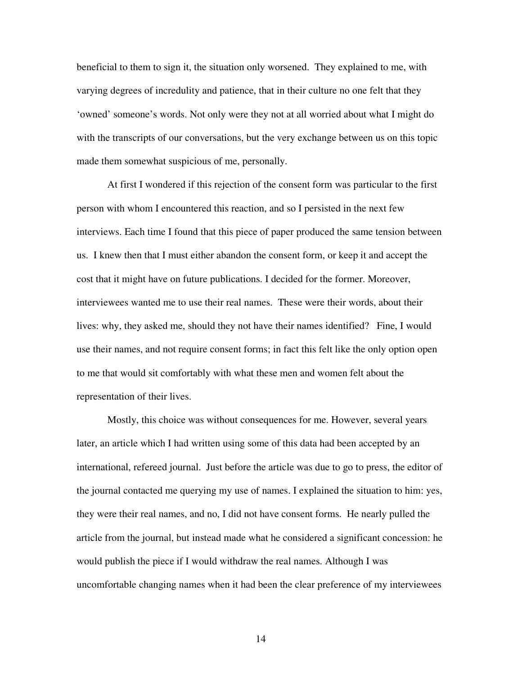beneficial to them to sign it, the situation only worsened. They explained to me, with varying degrees of incredulity and patience, that in their culture no one felt that they 'owned' someone's words. Not only were they not at all worried about what I might do with the transcripts of our conversations, but the very exchange between us on this topic made them somewhat suspicious of me, personally.

At first I wondered if this rejection of the consent form was particular to the first person with whom I encountered this reaction, and so I persisted in the next few interviews. Each time I found that this piece of paper produced the same tension between us. I knew then that I must either abandon the consent form, or keep it and accept the cost that it might have on future publications. I decided for the former. Moreover, interviewees wanted me to use their real names. These were their words, about their lives: why, they asked me, should they not have their names identified? Fine, I would use their names, and not require consent forms; in fact this felt like the only option open to me that would sit comfortably with what these men and women felt about the representation of their lives.

Mostly, this choice was without consequences for me. However, several years later, an article which I had written using some of this data had been accepted by an international, refereed journal. Just before the article was due to go to press, the editor of the journal contacted me querying my use of names. I explained the situation to him: yes, they were their real names, and no, I did not have consent forms. He nearly pulled the article from the journal, but instead made what he considered a significant concession: he would publish the piece if I would withdraw the real names. Although I was uncomfortable changing names when it had been the clear preference of my interviewees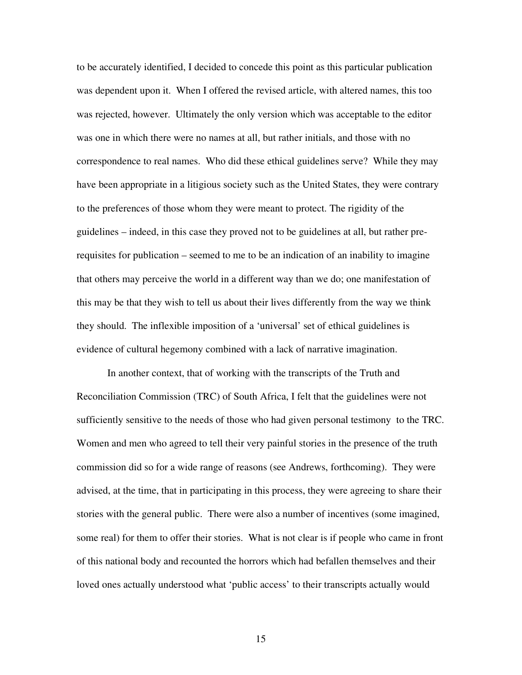to be accurately identified, I decided to concede this point as this particular publication was dependent upon it. When I offered the revised article, with altered names, this too was rejected, however. Ultimately the only version which was acceptable to the editor was one in which there were no names at all, but rather initials, and those with no correspondence to real names. Who did these ethical guidelines serve? While they may have been appropriate in a litigious society such as the United States, they were contrary to the preferences of those whom they were meant to protect. The rigidity of the guidelines – indeed, in this case they proved not to be guidelines at all, but rather prerequisites for publication – seemed to me to be an indication of an inability to imagine that others may perceive the world in a different way than we do; one manifestation of this may be that they wish to tell us about their lives differently from the way we think they should. The inflexible imposition of a 'universal' set of ethical guidelines is evidence of cultural hegemony combined with a lack of narrative imagination.

In another context, that of working with the transcripts of the Truth and Reconciliation Commission (TRC) of South Africa, I felt that the guidelines were not sufficiently sensitive to the needs of those who had given personal testimony to the TRC. Women and men who agreed to tell their very painful stories in the presence of the truth commission did so for a wide range of reasons (see Andrews, forthcoming). They were advised, at the time, that in participating in this process, they were agreeing to share their stories with the general public. There were also a number of incentives (some imagined, some real) for them to offer their stories. What is not clear is if people who came in front of this national body and recounted the horrors which had befallen themselves and their loved ones actually understood what 'public access' to their transcripts actually would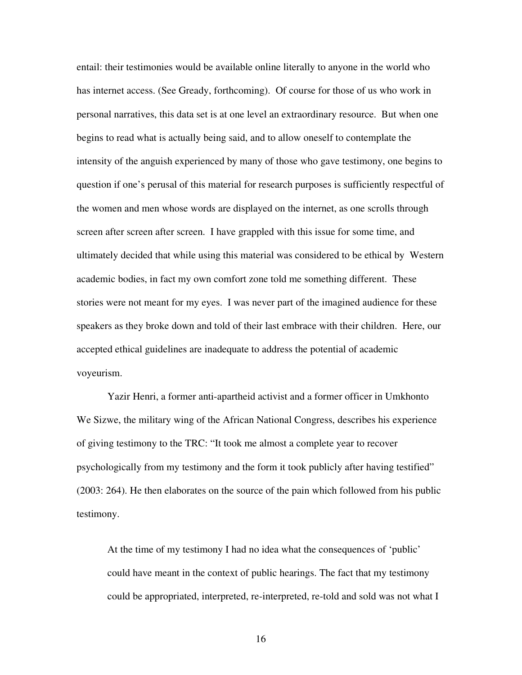entail: their testimonies would be available online literally to anyone in the world who has internet access. (See Gready, forthcoming). Of course for those of us who work in personal narratives, this data set is at one level an extraordinary resource. But when one begins to read what is actually being said, and to allow oneself to contemplate the intensity of the anguish experienced by many of those who gave testimony, one begins to question if one's perusal of this material for research purposes is sufficiently respectful of the women and men whose words are displayed on the internet, as one scrolls through screen after screen after screen. I have grappled with this issue for some time, and ultimately decided that while using this material was considered to be ethical by Western academic bodies, in fact my own comfort zone told me something different. These stories were not meant for my eyes. I was never part of the imagined audience for these speakers as they broke down and told of their last embrace with their children. Here, our accepted ethical guidelines are inadequate to address the potential of academic voyeurism.

Yazir Henri, a former anti-apartheid activist and a former officer in Umkhonto We Sizwe, the military wing of the African National Congress, describes his experience of giving testimony to the TRC: "It took me almost a complete year to recover psychologically from my testimony and the form it took publicly after having testified" (2003: 264). He then elaborates on the source of the pain which followed from his public testimony.

At the time of my testimony I had no idea what the consequences of 'public' could have meant in the context of public hearings. The fact that my testimony could be appropriated, interpreted, re-interpreted, re-told and sold was not what I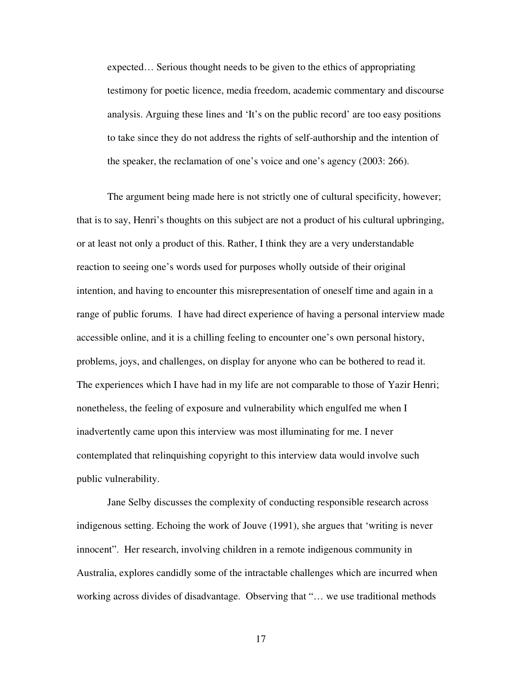expected… Serious thought needs to be given to the ethics of appropriating testimony for poetic licence, media freedom, academic commentary and discourse analysis. Arguing these lines and 'It's on the public record' are too easy positions to take since they do not address the rights of self-authorship and the intention of the speaker, the reclamation of one's voice and one's agency (2003: 266).

The argument being made here is not strictly one of cultural specificity, however; that is to say, Henri's thoughts on this subject are not a product of his cultural upbringing, or at least not only a product of this. Rather, I think they are a very understandable reaction to seeing one's words used for purposes wholly outside of their original intention, and having to encounter this misrepresentation of oneself time and again in a range of public forums. I have had direct experience of having a personal interview made accessible online, and it is a chilling feeling to encounter one's own personal history, problems, joys, and challenges, on display for anyone who can be bothered to read it. The experiences which I have had in my life are not comparable to those of Yazir Henri; nonetheless, the feeling of exposure and vulnerability which engulfed me when I inadvertently came upon this interview was most illuminating for me. I never contemplated that relinquishing copyright to this interview data would involve such public vulnerability.

Jane Selby discusses the complexity of conducting responsible research across indigenous setting. Echoing the work of Jouve (1991), she argues that 'writing is never innocent". Her research, involving children in a remote indigenous community in Australia, explores candidly some of the intractable challenges which are incurred when working across divides of disadvantage. Observing that "… we use traditional methods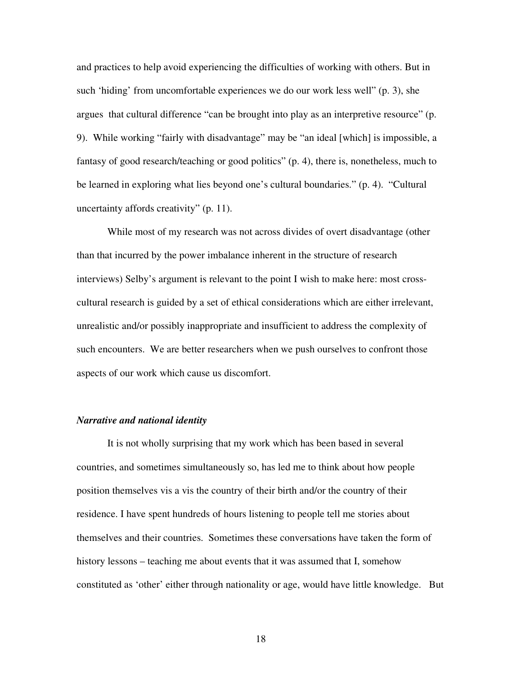and practices to help avoid experiencing the difficulties of working with others. But in such 'hiding' from uncomfortable experiences we do our work less well" (p. 3), she argues that cultural difference "can be brought into play as an interpretive resource" (p. 9). While working "fairly with disadvantage" may be "an ideal [which] is impossible, a fantasy of good research/teaching or good politics" (p. 4), there is, nonetheless, much to be learned in exploring what lies beyond one's cultural boundaries." (p. 4). "Cultural uncertainty affords creativity" (p. 11).

While most of my research was not across divides of overt disadvantage (other than that incurred by the power imbalance inherent in the structure of research interviews) Selby's argument is relevant to the point I wish to make here: most crosscultural research is guided by a set of ethical considerations which are either irrelevant, unrealistic and/or possibly inappropriate and insufficient to address the complexity of such encounters. We are better researchers when we push ourselves to confront those aspects of our work which cause us discomfort.

## *Narrative and national identity*

It is not wholly surprising that my work which has been based in several countries, and sometimes simultaneously so, has led me to think about how people position themselves vis a vis the country of their birth and/or the country of their residence. I have spent hundreds of hours listening to people tell me stories about themselves and their countries. Sometimes these conversations have taken the form of history lessons – teaching me about events that it was assumed that I, somehow constituted as 'other' either through nationality or age, would have little knowledge. But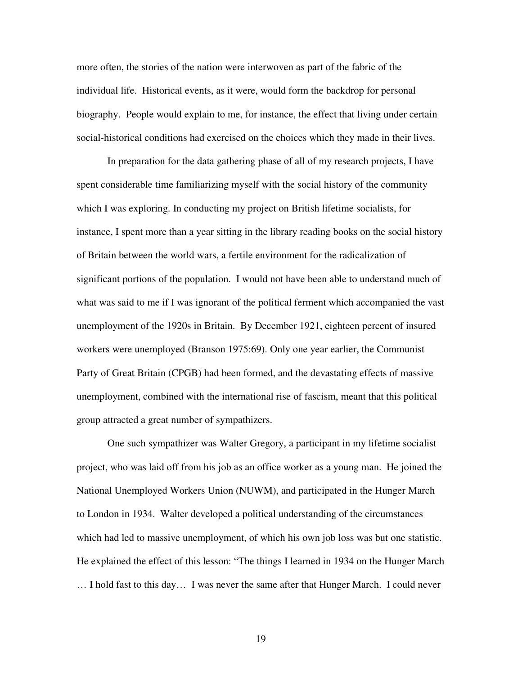more often, the stories of the nation were interwoven as part of the fabric of the individual life. Historical events, as it were, would form the backdrop for personal biography. People would explain to me, for instance, the effect that living under certain social-historical conditions had exercised on the choices which they made in their lives.

In preparation for the data gathering phase of all of my research projects, I have spent considerable time familiarizing myself with the social history of the community which I was exploring. In conducting my project on British lifetime socialists, for instance, I spent more than a year sitting in the library reading books on the social history of Britain between the world wars, a fertile environment for the radicalization of significant portions of the population. I would not have been able to understand much of what was said to me if I was ignorant of the political ferment which accompanied the vast unemployment of the 1920s in Britain. By December 1921, eighteen percent of insured workers were unemployed (Branson 1975:69). Only one year earlier, the Communist Party of Great Britain (CPGB) had been formed, and the devastating effects of massive unemployment, combined with the international rise of fascism, meant that this political group attracted a great number of sympathizers.

One such sympathizer was Walter Gregory, a participant in my lifetime socialist project, who was laid off from his job as an office worker as a young man. He joined the National Unemployed Workers Union (NUWM), and participated in the Hunger March to London in 1934. Walter developed a political understanding of the circumstances which had led to massive unemployment, of which his own job loss was but one statistic. He explained the effect of this lesson: "The things I learned in 1934 on the Hunger March … I hold fast to this day… I was never the same after that Hunger March. I could never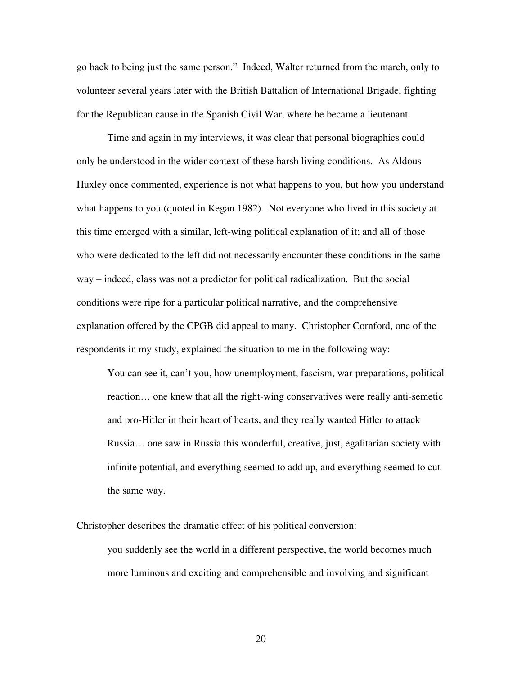go back to being just the same person." Indeed, Walter returned from the march, only to volunteer several years later with the British Battalion of International Brigade, fighting for the Republican cause in the Spanish Civil War, where he became a lieutenant.

Time and again in my interviews, it was clear that personal biographies could only be understood in the wider context of these harsh living conditions. As Aldous Huxley once commented, experience is not what happens to you, but how you understand what happens to you (quoted in Kegan 1982). Not everyone who lived in this society at this time emerged with a similar, left-wing political explanation of it; and all of those who were dedicated to the left did not necessarily encounter these conditions in the same way – indeed, class was not a predictor for political radicalization. But the social conditions were ripe for a particular political narrative, and the comprehensive explanation offered by the CPGB did appeal to many. Christopher Cornford, one of the respondents in my study, explained the situation to me in the following way:

You can see it, can't you, how unemployment, fascism, war preparations, political reaction… one knew that all the right-wing conservatives were really anti-semetic and pro-Hitler in their heart of hearts, and they really wanted Hitler to attack Russia… one saw in Russia this wonderful, creative, just, egalitarian society with infinite potential, and everything seemed to add up, and everything seemed to cut the same way.

Christopher describes the dramatic effect of his political conversion:

you suddenly see the world in a different perspective, the world becomes much more luminous and exciting and comprehensible and involving and significant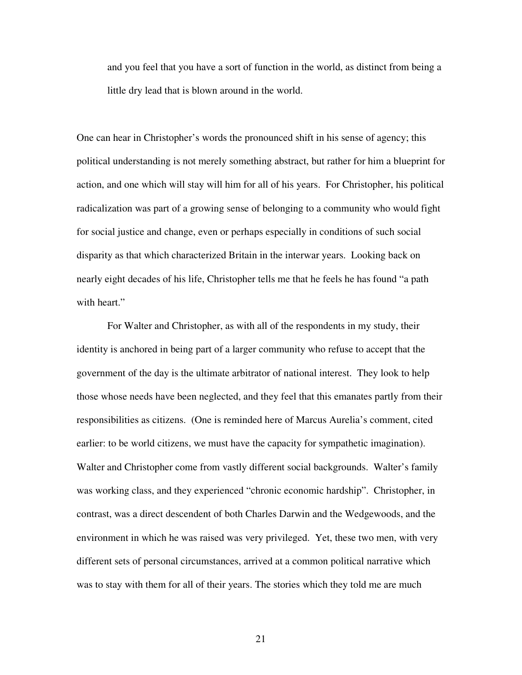and you feel that you have a sort of function in the world, as distinct from being a little dry lead that is blown around in the world.

One can hear in Christopher's words the pronounced shift in his sense of agency; this political understanding is not merely something abstract, but rather for him a blueprint for action, and one which will stay will him for all of his years. For Christopher, his political radicalization was part of a growing sense of belonging to a community who would fight for social justice and change, even or perhaps especially in conditions of such social disparity as that which characterized Britain in the interwar years. Looking back on nearly eight decades of his life, Christopher tells me that he feels he has found "a path with heart."

For Walter and Christopher, as with all of the respondents in my study, their identity is anchored in being part of a larger community who refuse to accept that the government of the day is the ultimate arbitrator of national interest. They look to help those whose needs have been neglected, and they feel that this emanates partly from their responsibilities as citizens. (One is reminded here of Marcus Aurelia's comment, cited earlier: to be world citizens, we must have the capacity for sympathetic imagination). Walter and Christopher come from vastly different social backgrounds. Walter's family was working class, and they experienced "chronic economic hardship". Christopher, in contrast, was a direct descendent of both Charles Darwin and the Wedgewoods, and the environment in which he was raised was very privileged. Yet, these two men, with very different sets of personal circumstances, arrived at a common political narrative which was to stay with them for all of their years. The stories which they told me are much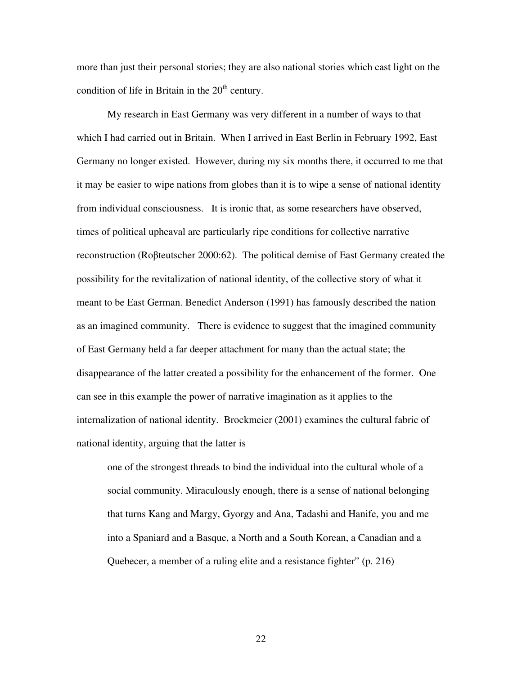more than just their personal stories; they are also national stories which cast light on the condition of life in Britain in the  $20<sup>th</sup>$  century.

My research in East Germany was very different in a number of ways to that which I had carried out in Britain. When I arrived in East Berlin in February 1992, East Germany no longer existed. However, during my six months there, it occurred to me that it may be easier to wipe nations from globes than it is to wipe a sense of national identity from individual consciousness. It is ironic that, as some researchers have observed, times of political upheaval are particularly ripe conditions for collective narrative reconstruction (Roβteutscher 2000:62). The political demise of East Germany created the possibility for the revitalization of national identity, of the collective story of what it meant to be East German. Benedict Anderson (1991) has famously described the nation as an imagined community. There is evidence to suggest that the imagined community of East Germany held a far deeper attachment for many than the actual state; the disappearance of the latter created a possibility for the enhancement of the former. One can see in this example the power of narrative imagination as it applies to the internalization of national identity. Brockmeier (2001) examines the cultural fabric of national identity, arguing that the latter is

one of the strongest threads to bind the individual into the cultural whole of a social community. Miraculously enough, there is a sense of national belonging that turns Kang and Margy, Gyorgy and Ana, Tadashi and Hanife, you and me into a Spaniard and a Basque, a North and a South Korean, a Canadian and a Quebecer, a member of a ruling elite and a resistance fighter" (p. 216)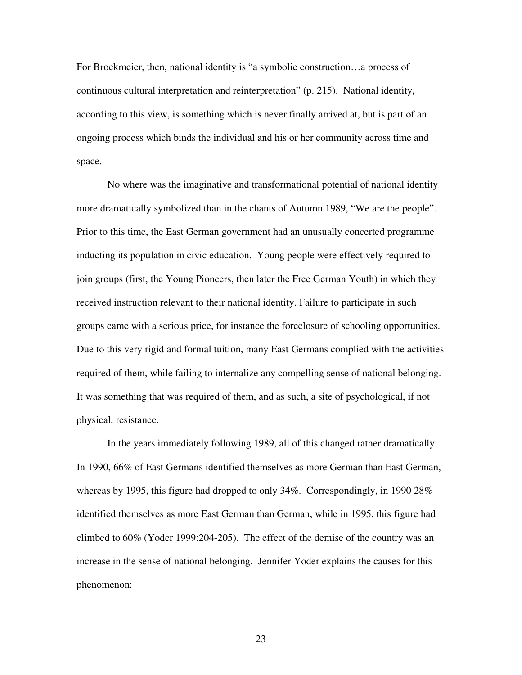For Brockmeier, then, national identity is "a symbolic construction…a process of continuous cultural interpretation and reinterpretation" (p. 215). National identity, according to this view, is something which is never finally arrived at, but is part of an ongoing process which binds the individual and his or her community across time and space.

No where was the imaginative and transformational potential of national identity more dramatically symbolized than in the chants of Autumn 1989, "We are the people". Prior to this time, the East German government had an unusually concerted programme inducting its population in civic education. Young people were effectively required to join groups (first, the Young Pioneers, then later the Free German Youth) in which they received instruction relevant to their national identity. Failure to participate in such groups came with a serious price, for instance the foreclosure of schooling opportunities. Due to this very rigid and formal tuition, many East Germans complied with the activities required of them, while failing to internalize any compelling sense of national belonging. It was something that was required of them, and as such, a site of psychological, if not physical, resistance.

In the years immediately following 1989, all of this changed rather dramatically. In 1990, 66% of East Germans identified themselves as more German than East German, whereas by 1995, this figure had dropped to only 34%. Correspondingly, in 1990 28% identified themselves as more East German than German, while in 1995, this figure had climbed to 60% (Yoder 1999:204-205). The effect of the demise of the country was an increase in the sense of national belonging. Jennifer Yoder explains the causes for this phenomenon: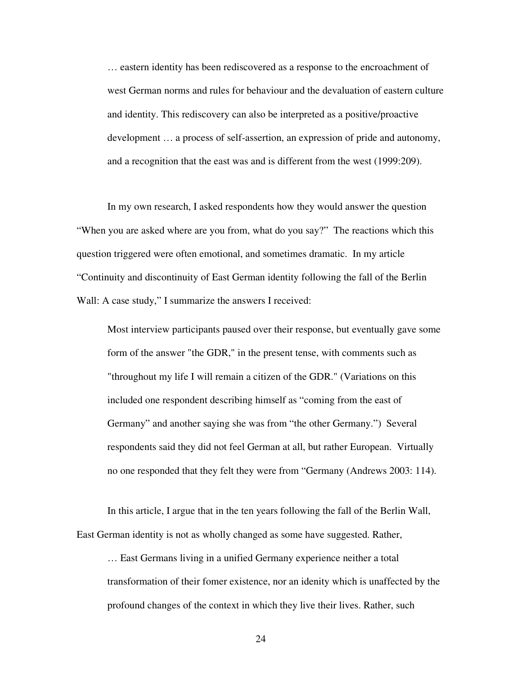… eastern identity has been rediscovered as a response to the encroachment of west German norms and rules for behaviour and the devaluation of eastern culture and identity. This rediscovery can also be interpreted as a positive/proactive development … a process of self-assertion, an expression of pride and autonomy, and a recognition that the east was and is different from the west (1999:209).

In my own research, I asked respondents how they would answer the question "When you are asked where are you from, what do you say?" The reactions which this question triggered were often emotional, and sometimes dramatic. In my article "Continuity and discontinuity of East German identity following the fall of the Berlin Wall: A case study," I summarize the answers I received:

Most interview participants paused over their response, but eventually gave some form of the answer "the GDR," in the present tense, with comments such as "throughout my life I will remain a citizen of the GDR." (Variations on this included one respondent describing himself as "coming from the east of Germany" and another saying she was from "the other Germany.") Several respondents said they did not feel German at all, but rather European. Virtually no one responded that they felt they were from "Germany (Andrews 2003: 114).

In this article, I argue that in the ten years following the fall of the Berlin Wall, East German identity is not as wholly changed as some have suggested. Rather,

… East Germans living in a unified Germany experience neither a total transformation of their fomer existence, nor an idenity which is unaffected by the profound changes of the context in which they live their lives. Rather, such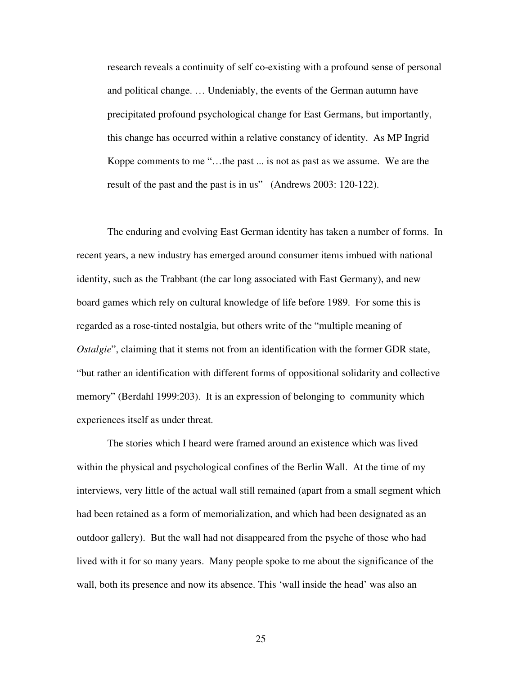research reveals a continuity of self co-existing with a profound sense of personal and political change. … Undeniably, the events of the German autumn have precipitated profound psychological change for East Germans, but importantly, this change has occurred within a relative constancy of identity. As MP Ingrid Koppe comments to me "…the past ... is not as past as we assume. We are the result of the past and the past is in us" (Andrews 2003: 120-122).

The enduring and evolving East German identity has taken a number of forms. In recent years, a new industry has emerged around consumer items imbued with national identity, such as the Trabbant (the car long associated with East Germany), and new board games which rely on cultural knowledge of life before 1989. For some this is regarded as a rose-tinted nostalgia, but others write of the "multiple meaning of *Ostalgie*", claiming that it stems not from an identification with the former GDR state, "but rather an identification with different forms of oppositional solidarity and collective memory" (Berdahl 1999:203). It is an expression of belonging to community which experiences itself as under threat.

The stories which I heard were framed around an existence which was lived within the physical and psychological confines of the Berlin Wall. At the time of my interviews, very little of the actual wall still remained (apart from a small segment which had been retained as a form of memorialization, and which had been designated as an outdoor gallery). But the wall had not disappeared from the psyche of those who had lived with it for so many years. Many people spoke to me about the significance of the wall, both its presence and now its absence. This 'wall inside the head' was also an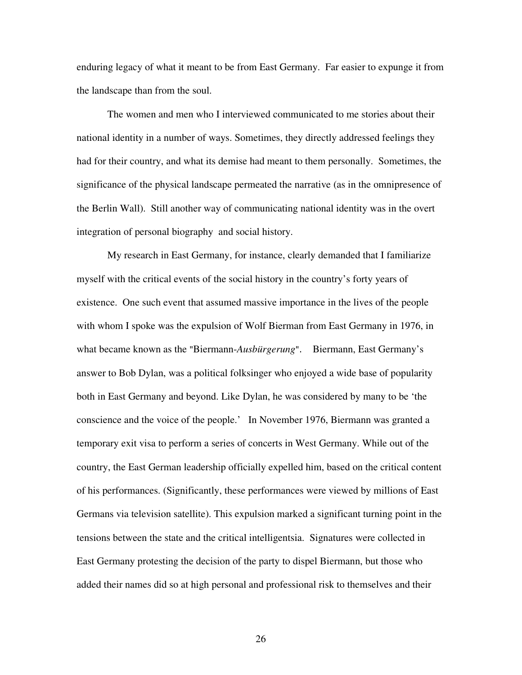enduring legacy of what it meant to be from East Germany. Far easier to expunge it from the landscape than from the soul.

The women and men who I interviewed communicated to me stories about their national identity in a number of ways. Sometimes, they directly addressed feelings they had for their country, and what its demise had meant to them personally. Sometimes, the significance of the physical landscape permeated the narrative (as in the omnipresence of the Berlin Wall). Still another way of communicating national identity was in the overt integration of personal biography and social history.

My research in East Germany, for instance, clearly demanded that I familiarize myself with the critical events of the social history in the country's forty years of existence. One such event that assumed massive importance in the lives of the people with whom I spoke was the expulsion of Wolf Bierman from East Germany in 1976, in what became known as the "Biermann-*Ausbürgerung*". Biermann, East Germany's answer to Bob Dylan, was a political folksinger who enjoyed a wide base of popularity both in East Germany and beyond. Like Dylan, he was considered by many to be 'the conscience and the voice of the people.' In November 1976, Biermann was granted a temporary exit visa to perform a series of concerts in West Germany. While out of the country, the East German leadership officially expelled him, based on the critical content of his performances. (Significantly, these performances were viewed by millions of East Germans via television satellite). This expulsion marked a significant turning point in the tensions between the state and the critical intelligentsia. Signatures were collected in East Germany protesting the decision of the party to dispel Biermann, but those who added their names did so at high personal and professional risk to themselves and their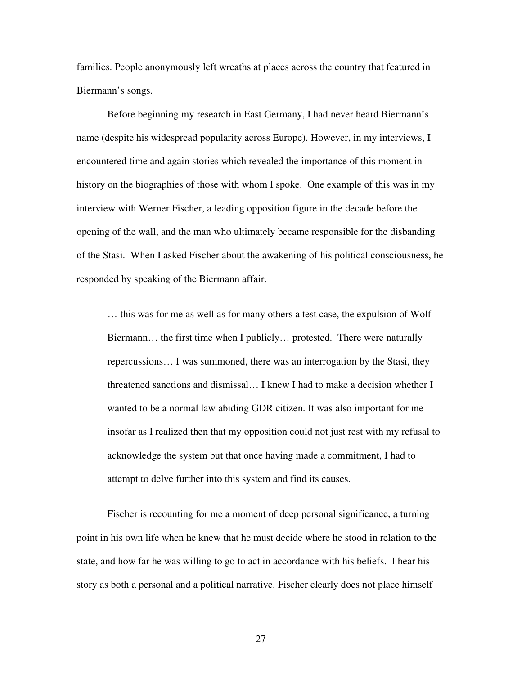families. People anonymously left wreaths at places across the country that featured in Biermann's songs.

Before beginning my research in East Germany, I had never heard Biermann's name (despite his widespread popularity across Europe). However, in my interviews, I encountered time and again stories which revealed the importance of this moment in history on the biographies of those with whom I spoke. One example of this was in my interview with Werner Fischer, a leading opposition figure in the decade before the opening of the wall, and the man who ultimately became responsible for the disbanding of the Stasi. When I asked Fischer about the awakening of his political consciousness, he responded by speaking of the Biermann affair.

… this was for me as well as for many others a test case, the expulsion of Wolf Biermann… the first time when I publicly… protested. There were naturally repercussions… I was summoned, there was an interrogation by the Stasi, they threatened sanctions and dismissal… I knew I had to make a decision whether I wanted to be a normal law abiding GDR citizen. It was also important for me insofar as I realized then that my opposition could not just rest with my refusal to acknowledge the system but that once having made a commitment, I had to attempt to delve further into this system and find its causes.

Fischer is recounting for me a moment of deep personal significance, a turning point in his own life when he knew that he must decide where he stood in relation to the state, and how far he was willing to go to act in accordance with his beliefs. I hear his story as both a personal and a political narrative. Fischer clearly does not place himself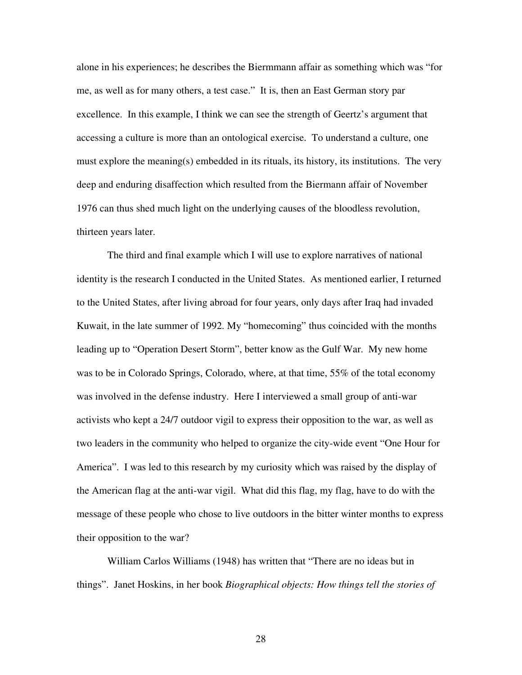alone in his experiences; he describes the Biermmann affair as something which was "for me, as well as for many others, a test case." It is, then an East German story par excellence. In this example, I think we can see the strength of Geertz's argument that accessing a culture is more than an ontological exercise. To understand a culture, one must explore the meaning(s) embedded in its rituals, its history, its institutions. The very deep and enduring disaffection which resulted from the Biermann affair of November 1976 can thus shed much light on the underlying causes of the bloodless revolution, thirteen years later.

 The third and final example which I will use to explore narratives of national identity is the research I conducted in the United States. As mentioned earlier, I returned to the United States, after living abroad for four years, only days after Iraq had invaded Kuwait, in the late summer of 1992. My "homecoming" thus coincided with the months leading up to "Operation Desert Storm", better know as the Gulf War. My new home was to be in Colorado Springs, Colorado, where, at that time, 55% of the total economy was involved in the defense industry. Here I interviewed a small group of anti-war activists who kept a 24/7 outdoor vigil to express their opposition to the war, as well as two leaders in the community who helped to organize the city-wide event "One Hour for America". I was led to this research by my curiosity which was raised by the display of the American flag at the anti-war vigil. What did this flag, my flag, have to do with the message of these people who chose to live outdoors in the bitter winter months to express their opposition to the war?

William Carlos Williams (1948) has written that "There are no ideas but in things". Janet Hoskins, in her book *Biographical objects: How things tell the stories of*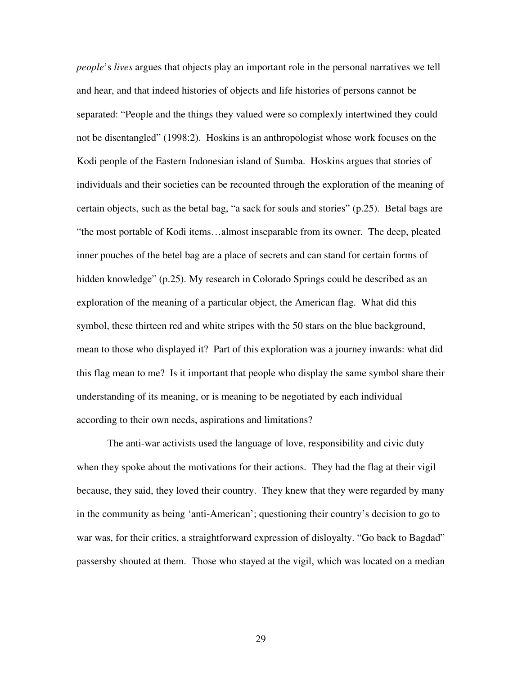*people*'s *lives* argues that objects play an important role in the personal narratives we tell and hear, and that indeed histories of objects and life histories of persons cannot be separated: "People and the things they valued were so complexly intertwined they could not be disentangled" (1998:2). Hoskins is an anthropologist whose work focuses on the Kodi people of the Eastern Indonesian island of Sumba. Hoskins argues that stories of individuals and their societies can be recounted through the exploration of the meaning of certain objects, such as the betal bag, "a sack for souls and stories" (p.25). Betal bags are "the most portable of Kodi items…almost inseparable from its owner. The deep, pleated inner pouches of the betel bag are a place of secrets and can stand for certain forms of hidden knowledge" (p.25). My research in Colorado Springs could be described as an exploration of the meaning of a particular object, the American flag. What did this symbol, these thirteen red and white stripes with the 50 stars on the blue background, mean to those who displayed it? Part of this exploration was a journey inwards: what did this flag mean to me? Is it important that people who display the same symbol share their understanding of its meaning, or is meaning to be negotiated by each individual according to their own needs, aspirations and limitations?

The anti-war activists used the language of love, responsibility and civic duty when they spoke about the motivations for their actions. They had the flag at their vigil because, they said, they loved their country. They knew that they were regarded by many in the community as being 'anti-American'; questioning their country's decision to go to war was, for their critics, a straightforward expression of disloyalty. "Go back to Bagdad" passersby shouted at them. Those who stayed at the vigil, which was located on a median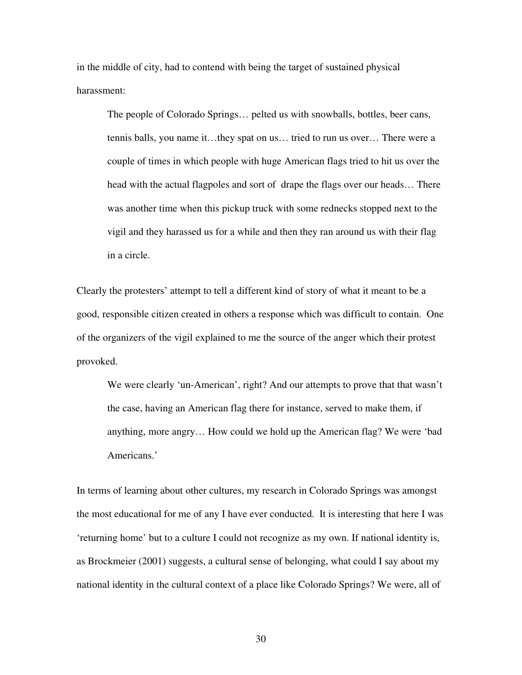in the middle of city, had to contend with being the target of sustained physical harassment:

The people of Colorado Springs… pelted us with snowballs, bottles, beer cans, tennis balls, you name it…they spat on us… tried to run us over… There were a couple of times in which people with huge American flags tried to hit us over the head with the actual flagpoles and sort of drape the flags over our heads… There was another time when this pickup truck with some rednecks stopped next to the vigil and they harassed us for a while and then they ran around us with their flag in a circle.

Clearly the protesters' attempt to tell a different kind of story of what it meant to be a good, responsible citizen created in others a response which was difficult to contain. One of the organizers of the vigil explained to me the source of the anger which their protest provoked.

We were clearly 'un-American', right? And our attempts to prove that that wasn't the case, having an American flag there for instance, served to make them, if anything, more angry… How could we hold up the American flag? We were 'bad Americans.'

In terms of learning about other cultures, my research in Colorado Springs was amongst the most educational for me of any I have ever conducted. It is interesting that here I was 'returning home' but to a culture I could not recognize as my own. If national identity is, as Brockmeier (2001) suggests, a cultural sense of belonging, what could I say about my national identity in the cultural context of a place like Colorado Springs? We were, all of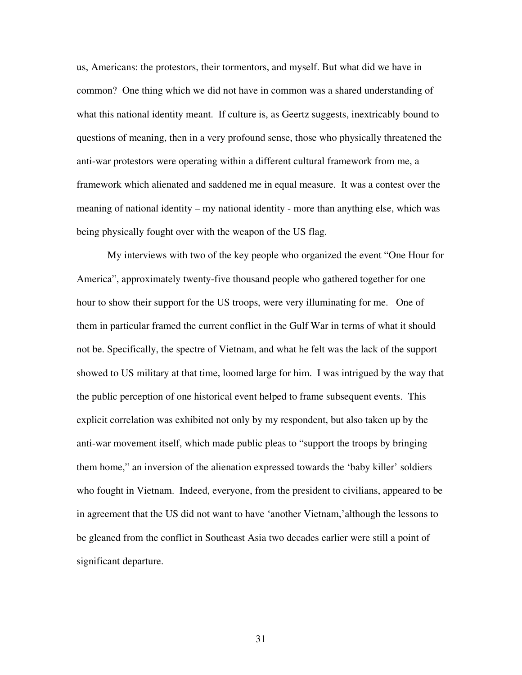us, Americans: the protestors, their tormentors, and myself. But what did we have in common? One thing which we did not have in common was a shared understanding of what this national identity meant. If culture is, as Geertz suggests, inextricably bound to questions of meaning, then in a very profound sense, those who physically threatened the anti-war protestors were operating within a different cultural framework from me, a framework which alienated and saddened me in equal measure. It was a contest over the meaning of national identity – my national identity - more than anything else, which was being physically fought over with the weapon of the US flag.

My interviews with two of the key people who organized the event "One Hour for America", approximately twenty-five thousand people who gathered together for one hour to show their support for the US troops, were very illuminating for me. One of them in particular framed the current conflict in the Gulf War in terms of what it should not be. Specifically, the spectre of Vietnam, and what he felt was the lack of the support showed to US military at that time, loomed large for him. I was intrigued by the way that the public perception of one historical event helped to frame subsequent events. This explicit correlation was exhibited not only by my respondent, but also taken up by the anti-war movement itself, which made public pleas to "support the troops by bringing them home," an inversion of the alienation expressed towards the 'baby killer' soldiers who fought in Vietnam. Indeed, everyone, from the president to civilians, appeared to be in agreement that the US did not want to have 'another Vietnam,'although the lessons to be gleaned from the conflict in Southeast Asia two decades earlier were still a point of significant departure.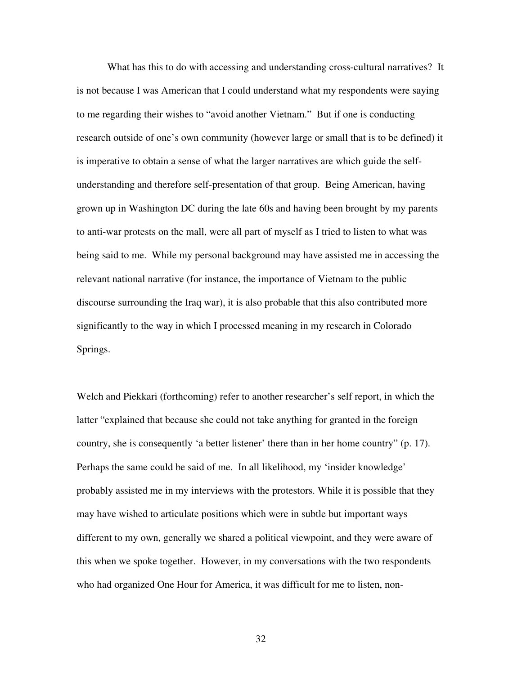What has this to do with accessing and understanding cross-cultural narratives? It is not because I was American that I could understand what my respondents were saying to me regarding their wishes to "avoid another Vietnam." But if one is conducting research outside of one's own community (however large or small that is to be defined) it is imperative to obtain a sense of what the larger narratives are which guide the selfunderstanding and therefore self-presentation of that group. Being American, having grown up in Washington DC during the late 60s and having been brought by my parents to anti-war protests on the mall, were all part of myself as I tried to listen to what was being said to me. While my personal background may have assisted me in accessing the relevant national narrative (for instance, the importance of Vietnam to the public discourse surrounding the Iraq war), it is also probable that this also contributed more significantly to the way in which I processed meaning in my research in Colorado Springs.

Welch and Piekkari (forthcoming) refer to another researcher's self report, in which the latter "explained that because she could not take anything for granted in the foreign country, she is consequently 'a better listener' there than in her home country" (p. 17). Perhaps the same could be said of me. In all likelihood, my 'insider knowledge' probably assisted me in my interviews with the protestors. While it is possible that they may have wished to articulate positions which were in subtle but important ways different to my own, generally we shared a political viewpoint, and they were aware of this when we spoke together. However, in my conversations with the two respondents who had organized One Hour for America, it was difficult for me to listen, non-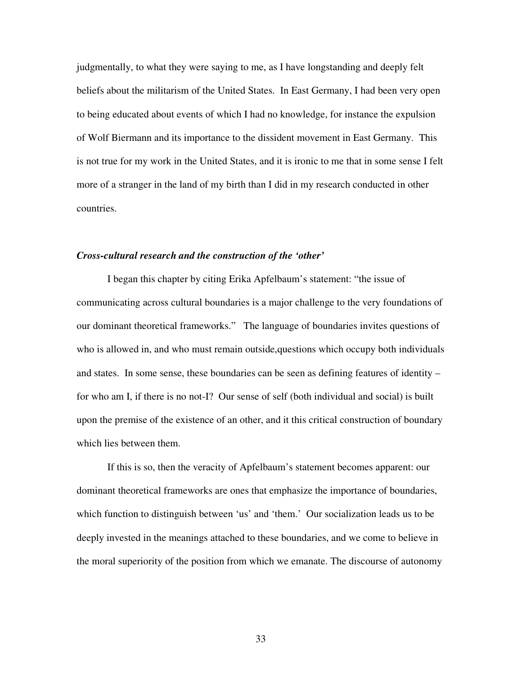judgmentally, to what they were saying to me, as I have longstanding and deeply felt beliefs about the militarism of the United States. In East Germany, I had been very open to being educated about events of which I had no knowledge, for instance the expulsion of Wolf Biermann and its importance to the dissident movement in East Germany. This is not true for my work in the United States, and it is ironic to me that in some sense I felt more of a stranger in the land of my birth than I did in my research conducted in other countries.

#### *Cross-cultural research and the construction of the 'other'*

I began this chapter by citing Erika Apfelbaum's statement: "the issue of communicating across cultural boundaries is a major challenge to the very foundations of our dominant theoretical frameworks." The language of boundaries invites questions of who is allowed in, and who must remain outside,questions which occupy both individuals and states. In some sense, these boundaries can be seen as defining features of identity – for who am I, if there is no not-I? Our sense of self (both individual and social) is built upon the premise of the existence of an other, and it this critical construction of boundary which lies between them.

If this is so, then the veracity of Apfelbaum's statement becomes apparent: our dominant theoretical frameworks are ones that emphasize the importance of boundaries, which function to distinguish between 'us' and 'them.' Our socialization leads us to be deeply invested in the meanings attached to these boundaries, and we come to believe in the moral superiority of the position from which we emanate. The discourse of autonomy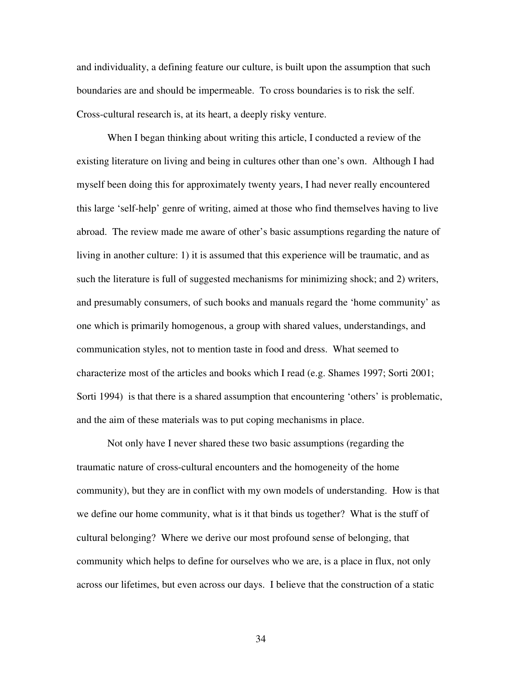and individuality, a defining feature our culture, is built upon the assumption that such boundaries are and should be impermeable. To cross boundaries is to risk the self. Cross-cultural research is, at its heart, a deeply risky venture.

When I began thinking about writing this article, I conducted a review of the existing literature on living and being in cultures other than one's own. Although I had myself been doing this for approximately twenty years, I had never really encountered this large 'self-help' genre of writing, aimed at those who find themselves having to live abroad. The review made me aware of other's basic assumptions regarding the nature of living in another culture: 1) it is assumed that this experience will be traumatic, and as such the literature is full of suggested mechanisms for minimizing shock; and 2) writers, and presumably consumers, of such books and manuals regard the 'home community' as one which is primarily homogenous, a group with shared values, understandings, and communication styles, not to mention taste in food and dress. What seemed to characterize most of the articles and books which I read (e.g. Shames 1997; Sorti 2001; Sorti 1994) is that there is a shared assumption that encountering 'others' is problematic, and the aim of these materials was to put coping mechanisms in place.

Not only have I never shared these two basic assumptions (regarding the traumatic nature of cross-cultural encounters and the homogeneity of the home community), but they are in conflict with my own models of understanding. How is that we define our home community, what is it that binds us together? What is the stuff of cultural belonging? Where we derive our most profound sense of belonging, that community which helps to define for ourselves who we are, is a place in flux, not only across our lifetimes, but even across our days. I believe that the construction of a static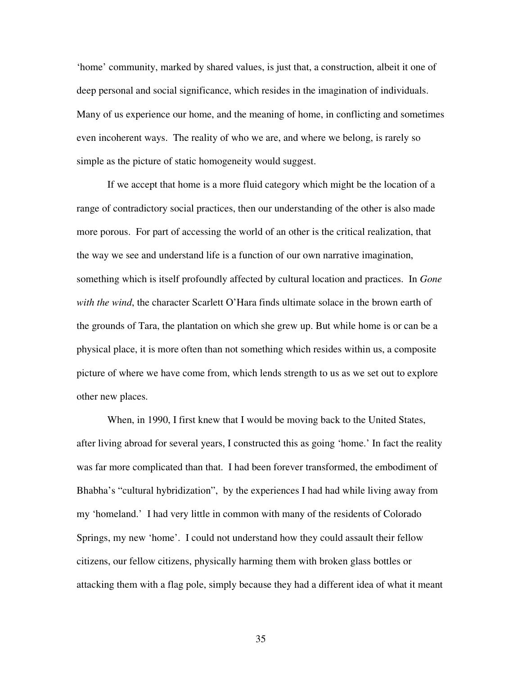'home' community, marked by shared values, is just that, a construction, albeit it one of deep personal and social significance, which resides in the imagination of individuals. Many of us experience our home, and the meaning of home, in conflicting and sometimes even incoherent ways. The reality of who we are, and where we belong, is rarely so simple as the picture of static homogeneity would suggest.

If we accept that home is a more fluid category which might be the location of a range of contradictory social practices, then our understanding of the other is also made more porous. For part of accessing the world of an other is the critical realization, that the way we see and understand life is a function of our own narrative imagination, something which is itself profoundly affected by cultural location and practices. In *Gone with the wind*, the character Scarlett O'Hara finds ultimate solace in the brown earth of the grounds of Tara, the plantation on which she grew up. But while home is or can be a physical place, it is more often than not something which resides within us, a composite picture of where we have come from, which lends strength to us as we set out to explore other new places.

When, in 1990, I first knew that I would be moving back to the United States, after living abroad for several years, I constructed this as going 'home.' In fact the reality was far more complicated than that. I had been forever transformed, the embodiment of Bhabha's "cultural hybridization", by the experiences I had had while living away from my 'homeland.' I had very little in common with many of the residents of Colorado Springs, my new 'home'. I could not understand how they could assault their fellow citizens, our fellow citizens, physically harming them with broken glass bottles or attacking them with a flag pole, simply because they had a different idea of what it meant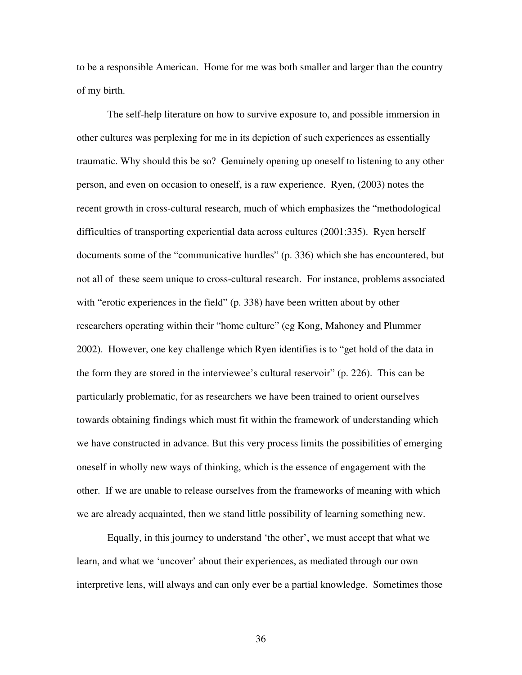to be a responsible American. Home for me was both smaller and larger than the country of my birth.

The self-help literature on how to survive exposure to, and possible immersion in other cultures was perplexing for me in its depiction of such experiences as essentially traumatic. Why should this be so? Genuinely opening up oneself to listening to any other person, and even on occasion to oneself, is a raw experience. Ryen, (2003) notes the recent growth in cross-cultural research, much of which emphasizes the "methodological difficulties of transporting experiential data across cultures (2001:335). Ryen herself documents some of the "communicative hurdles" (p. 336) which she has encountered, but not all of these seem unique to cross-cultural research. For instance, problems associated with "erotic experiences in the field" (p. 338) have been written about by other researchers operating within their "home culture" (eg Kong, Mahoney and Plummer 2002). However, one key challenge which Ryen identifies is to "get hold of the data in the form they are stored in the interviewee's cultural reservoir" (p. 226). This can be particularly problematic, for as researchers we have been trained to orient ourselves towards obtaining findings which must fit within the framework of understanding which we have constructed in advance. But this very process limits the possibilities of emerging oneself in wholly new ways of thinking, which is the essence of engagement with the other. If we are unable to release ourselves from the frameworks of meaning with which we are already acquainted, then we stand little possibility of learning something new.

Equally, in this journey to understand 'the other', we must accept that what we learn, and what we 'uncover' about their experiences, as mediated through our own interpretive lens, will always and can only ever be a partial knowledge. Sometimes those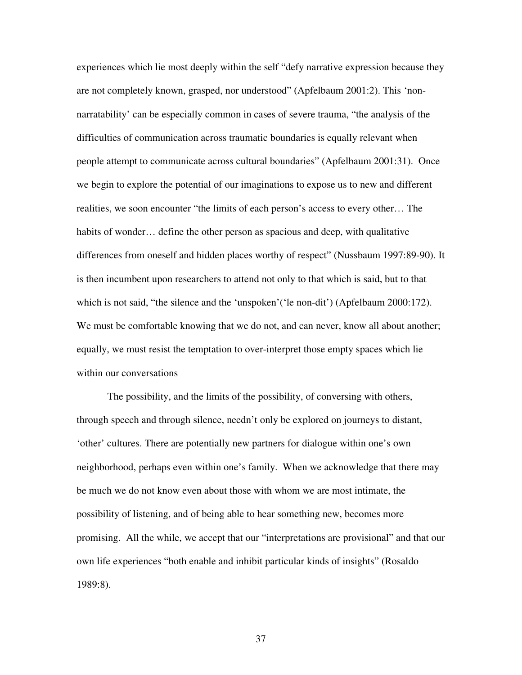experiences which lie most deeply within the self "defy narrative expression because they are not completely known, grasped, nor understood" (Apfelbaum 2001:2). This 'nonnarratability' can be especially common in cases of severe trauma, "the analysis of the difficulties of communication across traumatic boundaries is equally relevant when people attempt to communicate across cultural boundaries" (Apfelbaum 2001:31). Once we begin to explore the potential of our imaginations to expose us to new and different realities, we soon encounter "the limits of each person's access to every other… The habits of wonder... define the other person as spacious and deep, with qualitative differences from oneself and hidden places worthy of respect" (Nussbaum 1997:89-90). It is then incumbent upon researchers to attend not only to that which is said, but to that which is not said, "the silence and the 'unspoken' ('le non-dit') (Apfelbaum 2000:172). We must be comfortable knowing that we do not, and can never, know all about another; equally, we must resist the temptation to over-interpret those empty spaces which lie within our conversations

The possibility, and the limits of the possibility, of conversing with others, through speech and through silence, needn't only be explored on journeys to distant, 'other' cultures. There are potentially new partners for dialogue within one's own neighborhood, perhaps even within one's family. When we acknowledge that there may be much we do not know even about those with whom we are most intimate, the possibility of listening, and of being able to hear something new, becomes more promising. All the while, we accept that our "interpretations are provisional" and that our own life experiences "both enable and inhibit particular kinds of insights" (Rosaldo 1989:8).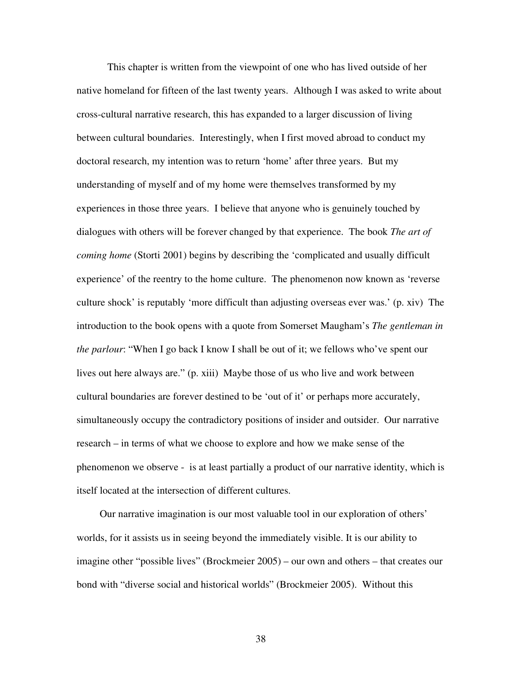This chapter is written from the viewpoint of one who has lived outside of her native homeland for fifteen of the last twenty years. Although I was asked to write about cross-cultural narrative research, this has expanded to a larger discussion of living between cultural boundaries. Interestingly, when I first moved abroad to conduct my doctoral research, my intention was to return 'home' after three years. But my understanding of myself and of my home were themselves transformed by my experiences in those three years. I believe that anyone who is genuinely touched by dialogues with others will be forever changed by that experience. The book *The art of coming home* (Storti 2001) begins by describing the 'complicated and usually difficult experience' of the reentry to the home culture. The phenomenon now known as 'reverse culture shock' is reputably 'more difficult than adjusting overseas ever was.' (p. xiv) The introduction to the book opens with a quote from Somerset Maugham's *The gentleman in the parlour*: "When I go back I know I shall be out of it; we fellows who've spent our lives out here always are." (p. xiii) Maybe those of us who live and work between cultural boundaries are forever destined to be 'out of it' or perhaps more accurately, simultaneously occupy the contradictory positions of insider and outsider. Our narrative research – in terms of what we choose to explore and how we make sense of the phenomenon we observe - is at least partially a product of our narrative identity, which is itself located at the intersection of different cultures.

Our narrative imagination is our most valuable tool in our exploration of others' worlds, for it assists us in seeing beyond the immediately visible. It is our ability to imagine other "possible lives" (Brockmeier 2005) – our own and others – that creates our bond with "diverse social and historical worlds" (Brockmeier 2005). Without this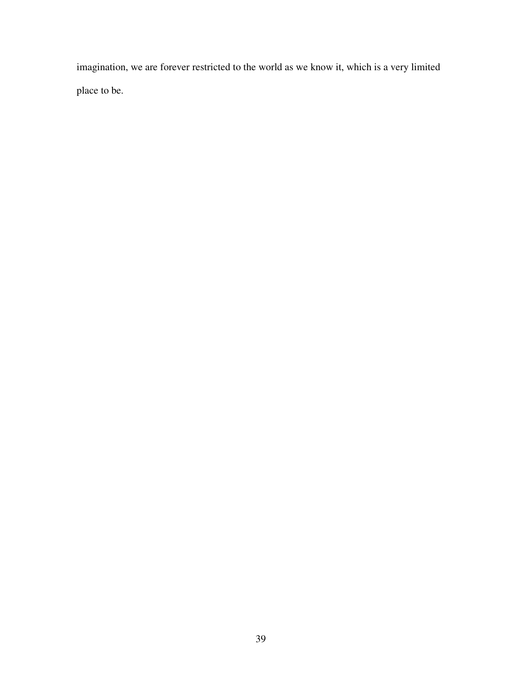imagination, we are forever restricted to the world as we know it, which is a very limited place to be.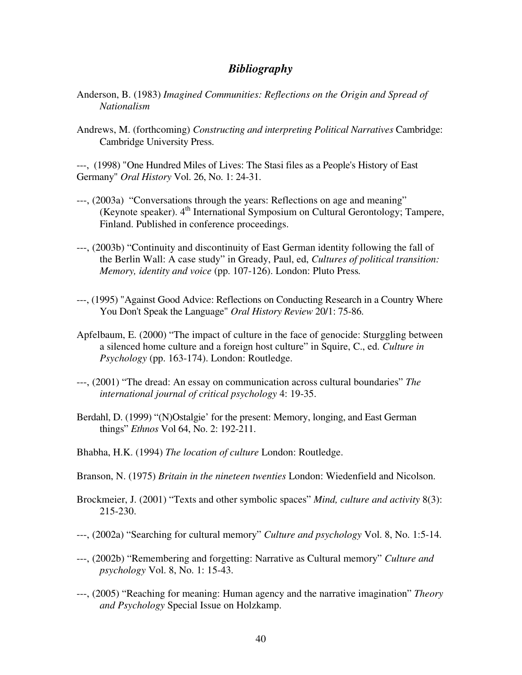# *Bibliography*

- Anderson, B. (1983) *Imagined Communities: Reflections on the Origin and Spread of Nationalism*
- Andrews, M. (forthcoming) *Constructing and interpreting Political Narratives* Cambridge: Cambridge University Press.

---, (1998) "One Hundred Miles of Lives: The Stasi files as a People's History of East Germany" *Oral History* Vol. 26, No. 1: 24-31.

- ---, (2003a) "Conversations through the years: Reflections on age and meaning" (Keynote speaker).  $4<sup>th</sup>$  International Symposium on Cultural Gerontology; Tampere, Finland. Published in conference proceedings.
- ---, (2003b) "Continuity and discontinuity of East German identity following the fall of the Berlin Wall: A case study" in Gready, Paul, ed, *Cultures of political transition: Memory, identity and voice* (pp. 107-126). London: Pluto Press*.*
- ---, (1995) "Against Good Advice: Reflections on Conducting Research in a Country Where You Don't Speak the Language" *Oral History Review* 20/1: 75-86.
- Apfelbaum, E. (2000) "The impact of culture in the face of genocide: Sturggling between a silenced home culture and a foreign host culture" in Squire, C., ed. *Culture in Psychology* (pp. 163-174). London: Routledge.
- ---, (2001) "The dread: An essay on communication across cultural boundaries" *The international journal of critical psychology* 4: 19-35.
- Berdahl, D. (1999) "(N)Ostalgie' for the present: Memory, longing, and East German things" *Ethnos* Vol 64, No. 2: 192-211.
- Bhabha, H.K. (1994) *The location of culture* London: Routledge.
- Branson, N. (1975) *Britain in the nineteen twenties* London: Wiedenfield and Nicolson.
- Brockmeier, J. (2001) "Texts and other symbolic spaces" *Mind, culture and activity* 8(3): 215-230.
- ---, (2002a) "Searching for cultural memory" *Culture and psychology* Vol. 8, No. 1:5-14.
- ---, (2002b) "Remembering and forgetting: Narrative as Cultural memory" *Culture and psychology* Vol. 8, No. 1: 15-43.
- ---, (2005) "Reaching for meaning: Human agency and the narrative imagination" *Theory and Psychology* Special Issue on Holzkamp.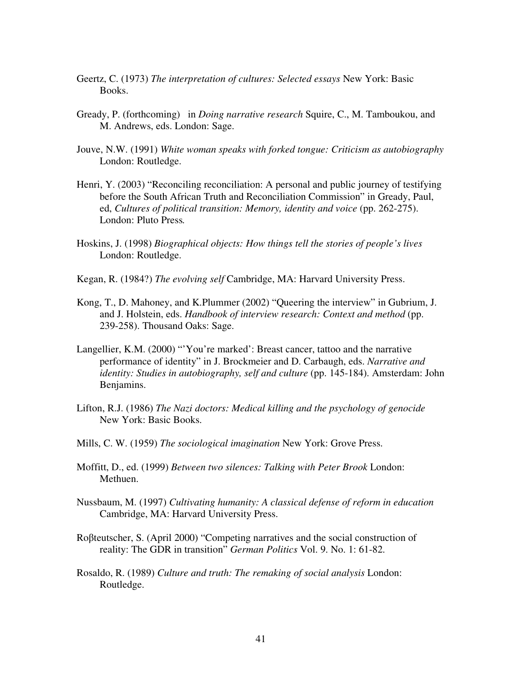- Geertz, C. (1973) *The interpretation of cultures: Selected essays* New York: Basic Books.
- Gready, P. (forthcoming) in *Doing narrative research* Squire, C., M. Tamboukou, and M. Andrews, eds. London: Sage.
- Jouve, N.W. (1991) *White woman speaks with forked tongue: Criticism as autobiography* London: Routledge.
- Henri, Y. (2003) "Reconciling reconciliation: A personal and public journey of testifying before the South African Truth and Reconciliation Commission" in Gready, Paul, ed, *Cultures of political transition: Memory, identity and voice* (pp. 262-275). London: Pluto Press*.*
- Hoskins, J. (1998) *Biographical objects: How things tell the stories of people's lives* London: Routledge.
- Kegan, R. (1984?) *The evolving self* Cambridge, MA: Harvard University Press.
- Kong, T., D. Mahoney, and K.Plummer (2002) "Queering the interview" in Gubrium, J. and J. Holstein, eds. *Handbook of interview research: Context and method* (pp. 239-258). Thousand Oaks: Sage.
- Langellier, K.M. (2000) "'You're marked': Breast cancer, tattoo and the narrative performance of identity" in J. Brockmeier and D. Carbaugh, eds. *Narrative and identity: Studies in autobiography, self and culture* (pp. 145-184). Amsterdam: John Benjamins.
- Lifton, R.J. (1986) *The Nazi doctors: Medical killing and the psychology of genocide* New York: Basic Books.
- Mills, C. W. (1959) *The sociological imagination* New York: Grove Press.
- Moffitt, D., ed. (1999) *Between two silences: Talking with Peter Brook* London: Methuen.
- Nussbaum, M. (1997) *Cultivating humanity: A classical defense of reform in education* Cambridge, MA: Harvard University Press.
- Roβteutscher, S. (April 2000) "Competing narratives and the social construction of reality: The GDR in transition" *German Politics* Vol. 9. No. 1: 61-82.
- Rosaldo, R. (1989) *Culture and truth: The remaking of social analysis* London: Routledge.